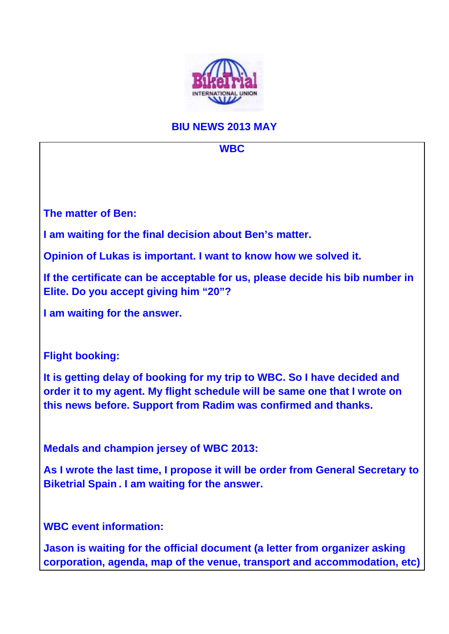

## **BIU NEWS 2013 MAY**

**WBC** 

**The matter of Ben:** 

**I am waiting for the final decision about Ben's matter.** 

**Opinion of Lukas is important. I want to know how we solved it.** 

**If the certificate can be acceptable for us, please decide his bib number in Elite. Do you accept giving him "20"?** 

**I am waiting for the answer.** 

**Flight booking:** 

**It is getting delay of booking for my trip to WBC. So I have decided and order it to my agent. My flight schedule will be same one that I wrote on this news before. Support from Radim was confirmed and thanks.** 

**Medals and champion jersey of WBC 2013:** 

**As I wrote the last time, I propose it will be order from General Secretary to Biketrial Spain . I am waiting for the answer.** 

**WBC event information:** 

**Jason is waiting for the official document (a letter from organizer asking corporation, agenda, map of the venue, transport and accommodation, etc)**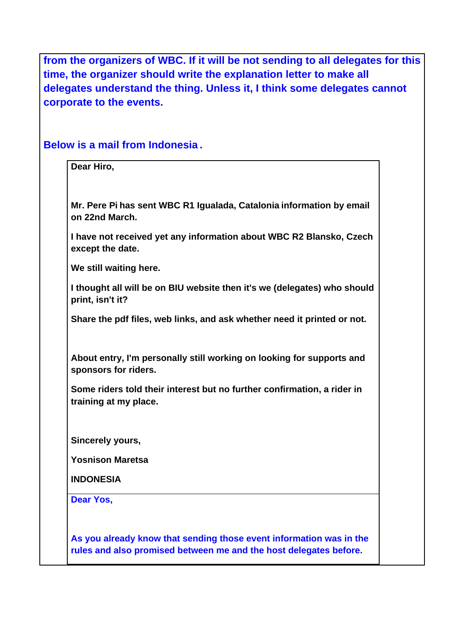**from the organizers of WBC. If it will be not sending to all delegates for this time, the organizer should write the explanation letter to make all delegates understand the thing. Unless it, I think some delegates cannot corporate to the events.** 

**Below is a mail from Indonesia .** 

**Dear Hiro,** 

**Mr. Pere Pi has sent WBC R1 Igualada, Catalonia information by email on 22nd March.** 

**I have not received yet any information about WBC R2 Blansko, Czech except the date.** 

**We still waiting here.** 

**I thought all will be on BIU website then it's we (delegates) who should print, isn't it?** 

**Share the pdf files, web links, and ask whether need it printed or not.** 

**About entry, I'm personally still working on looking for supports and sponsors for riders.** 

**Some riders told their interest but no further confirmation, a rider in training at my place.** 

**Sincerely yours,** 

**Yosnison Maretsa** 

**INDONESIA**

**Dear Yos,** 

**As you already know that sending those event information was in the rules and also promised between me and the host delegates before.**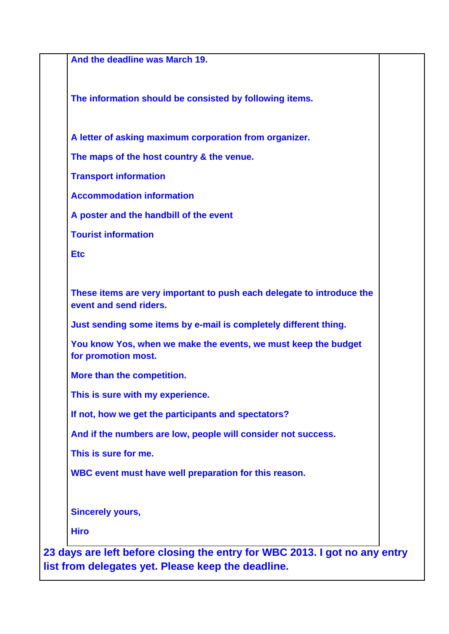| And the deadline was March 19.                                                                  |  |
|-------------------------------------------------------------------------------------------------|--|
| The information should be consisted by following items.                                         |  |
| A letter of asking maximum corporation from organizer.                                          |  |
| The maps of the host country & the venue.                                                       |  |
| <b>Transport information</b>                                                                    |  |
| <b>Accommodation information</b>                                                                |  |
| A poster and the handbill of the event                                                          |  |
| <b>Tourist information</b>                                                                      |  |
| <b>Etc</b>                                                                                      |  |
| These items are very important to push each delegate to introduce the<br>event and send riders. |  |
| Just sending some items by e-mail is completely different thing.                                |  |
| You know Yos, when we make the events, we must keep the budget<br>for promotion most.           |  |
| More than the competition.                                                                      |  |
| This is sure with my experience.                                                                |  |
| If not, how we get the participants and spectators?                                             |  |
| And if the numbers are low, people will consider not success.                                   |  |
| This is sure for me.                                                                            |  |
| WBC event must have well preparation for this reason.                                           |  |
| <b>Sincerely yours,</b>                                                                         |  |
|                                                                                                 |  |

**list from delegates yet. Please keep the deadline.**